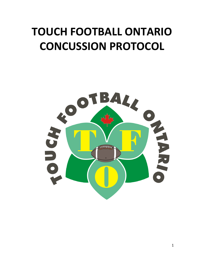## **TOUCH FOOTBALL ONTARIO CONCUSSION PROTOCOL**

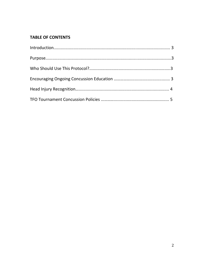### **TABLE OF CONTENTS**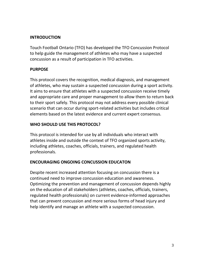#### **INTRODUCTION**

Touch Football Ontario (TFO) has developed the TFO Concussion Protocol to help guide the management of athletes who may have a suspected concussion as a result of participation in TFO activities.

#### **PURPOSE**

This protocol covers the recognition, medical diagnosis, and management of athletes, who may sustain a suspected concussion during a sport activity. It aims to ensure that athletes with a suspected concussion receive timely and appropriate care and proper management to allow them to return back to their sport safely. This protocol may not address every possible clinical scenario that can occur during sport-related activities but includes critical elements based on the latest evidence and current expert consensus.

#### **WHO SHOULD USE THIS PROTOCOL?**

This protocol is intended for use by all individuals who interact with athletes inside and outside the context of TFO organized sports activity, including athletes, coaches, officials, trainers, and regulated health professionals.

#### **ENCOURAGING ONGOING CONCUSSION EDUCATON**

Despite recent increased attention focusing on concussion there is a continued need to improve concussion education and awareness. Optimizing the prevention and management of concussion depends highly on the education of all stakeholders (athletes, coaches, officials, trainers, regulated health professionals) on current evidence-informed approaches that can prevent concussion and more serious forms of head injury and help identify and manage an athlete with a suspected concussion.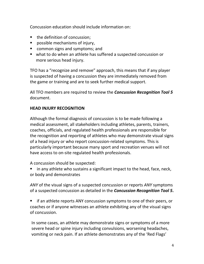Concussion education should include information on:

- the definition of concussion;
- possible mechanisms of injury,
- common signs and symptoms; and
- what to do when an athlete has suffered a suspected concussion or more serious head injury.

TFO has a "recognize and remove" approach, this means that if any player is suspected of having a concussion they are immediately removed from the game or training and are to seek further medical support.

All TFO members are required to review the *Concussion Recognition Tool 5* document.

### **HEAD INJURY RECOGNITION**

Although the formal diagnosis of concussion is to be made following a medical assessment, all stakeholders including athletes, parents, trainers, coaches, officials, and regulated health professionals are responsible for the recognition and reporting of athletes who may demonstrate visual signs of a head injury or who report concussion-related symptoms. This is particularly important because many sport and recreation venues will not have access to on-site regulated health professionals.

A concussion should be suspected:

in any athlete who sustains a significant impact to the head, face, neck, or body and demonstrates

*ANY* of the visual signs of a suspected concussion or reports *ANY* symptoms of a suspected concussion as detailed in the *Concussion Recognition Tool 5***.**

■ if an athlete reports ANY concussion symptoms to one of their peers, or coaches or if anyone witnesses an athlete exhibiting any of the visual signs of concussion.

In some cases, an athlete may demonstrate signs or symptoms of a more severe head or spine injury including convulsions, worsening headaches, vomiting or neck pain. If an athlete demonstrates any of the 'Red Flags'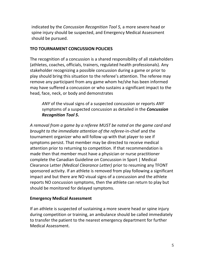indicated by the *Concussion Recognition Tool 5,* a more severe head or spine injury should be suspected, and Emergency Medical Assessment should be pursued.

#### **TFO TOURNAMENT CONCUSSION POLICIES**

The recognition of a concussion is a shared responsibility of all stakeholders (athletes, coaches, officials, trainers, regulated health professionals). Any stakeholder recognizing a possible concussion during a game or prior to play should bring this situation to the referee's attention. The referee may remove any participant from any game whom he/she has been informed may have suffered a concussion or who sustains a significant impact to the head, face, neck, or body and demonstrates

*ANY* of the visual signs of a suspected concussion or reports *ANY*  symptoms of a suspected concussion as detailed in the *Concussion Recognition Tool 5***.**

*A removal from a game by a referee MUST be noted on the game card and brought to the immediate attention of the referee*-in-chief and the tournament organizer who will follow up with that player to see if symptoms persist. That member may be directed to receive medical attention prior to returning to competition. If that recommendation is made then that member must have a physician or nurse practitioner complete the Canadian Guideline on Concussion in Sport | Medical Clearance Letter *(Medical Clearance Letter)* prior to resuming any TFONT sponsored activity. If an athlete is removed from play following a significant impact and but there are NO visual signs of a concussion and the athlete reports NO concussion symptoms, then the athlete can return to play but should be monitored for delayed symptoms.

#### **Emergency Medical Assessment**

If an athlete is suspected of sustaining a more severe head or spine injury during competition or training, an ambulance should be called immediately to transfer the patient to the nearest emergency department for further Medical Assessment.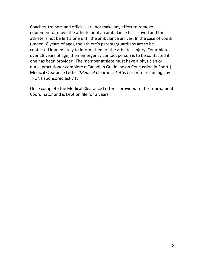Coaches, trainers and officials are not make any effort to remove equipment or move the athlete until an ambulance has arrived and the athlete is not be left alone until the ambulance arrives. In the case of youth (under 18 years of age), the athlete's parents/guardians are to be contacted immediately to inform them of the athlete's injury. For athletes over 18 years of age, their emergency contact person is to be contacted if one has been provided. The member athlete must have a physician or nurse practitioner complete a Canadian Guideline on Concussion in Sport | Medical Clearance Letter *(Medical Clearance Letter)* prior to resuming any TFONT sponsored activity.

Once complete the Medical Clearance Letter is provided to the Tournament Coordinator and is kept on file for 2 years.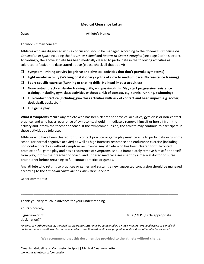#### **Medical Clearance Letter**

Date: which can be a set of the control of the Athlete's Name:

To whom it may concern,

Athletes who are diagnosed with a concussion should be managed according to the *Canadian Guideline on Concussion in Sport* including the *Return-to-School* and *Return-to-Sport Strategies* (see page 2 of this letter). Accordingly, the above athlete has been medically cleared to participate in the following activities as tolerated effective the date stated above (please check all that apply):

- $\Box$  Symptom-limiting activity (cognitive and physical activities that don't provoke symptoms)
- $\Box$  Light aerobic activity (Walking or stationary cycling at slow to medium pace. No resistance training)
- $\Box$  Sport-specific exercise (Running or skating drills. No head impact activities)
- $\Box$  Non-contact practice (Harder training drills, e.g. passing drills. May start progressive resistance training. Including gym class activities without a risk of contact, e.g. tennis, running, swimming)
- $\Box$  **Full-contact practice (Including gym class activities with risk of contact and head impact, e.g. soccer, dodgeball, basketball)**
- $\Box$  Full game play

**What if symptoms recur?** Any athlete who has been cleared for physical activities, gym class or non-contact practice, and who has a recurrence of symptoms, should immediately remove himself or herself from the activity and inform the teacher or coach. If the symptoms subside, the athlete may continue to participate in these activities as tolerated.

Athletes who have been cleared for full contact practice or game play must be able to participate in full-time school (or normal cognitive activity) as well as high intensity resistance and endurance exercise (including non-contact practice) without symptom recurrence. Any athlete who has been cleared for full-contact practice or full game play and has a recurrence of symptoms, should immediately remove himself or herself from play, inform their teacher or coach, and undergo medical assessment by a medical doctor or nurse practitioner before returning to full-contact practice or games.

Any athlete who returns to practices or games and sustains a new suspected concussion should be managed according to the *Canadian Guideline* on *Concussion in Sport*.

Other comments:

\_\_\_\_\_\_\_\_\_\_\_\_\_\_\_\_\_\_\_\_\_\_\_\_\_\_\_\_\_\_\_\_\_\_\_\_\_\_\_\_\_\_\_\_\_\_\_\_\_\_\_\_\_\_\_\_\_\_\_\_\_\_\_\_\_\_\_\_\_\_\_\_\_\_\_\_\_\_\_\_\_\_\_\_\_\_ \_\_\_\_\_\_\_\_\_\_\_\_\_\_\_\_\_\_\_\_\_\_\_\_\_\_\_\_\_\_\_\_\_\_\_\_\_\_\_\_\_\_\_\_\_\_\_\_\_\_\_\_\_\_\_\_\_\_\_\_\_\_\_\_\_\_\_\_\_\_\_\_\_\_\_\_\_\_\_\_\_\_\_\_\_\_ Thank-you very much in advance for your understanding. Yours Sincerely, Signature/print example and the set of the set of the set of the set of the Signature of the Signature of the set of the set of the set of the set of the set of the set of the set of the set of the set of the set of the se designation)\* *\*In rural or northern regions, the Medical Clearance Letter may be completed by a nurse with pre-arranged access to a medical* doctor or nurse practitioner. Forms completed by other licensed healthcare professionals should not otherwise be accepted.

We recommend that this document be provided to the athlete without charge.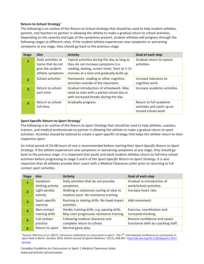#### **Return-to-School Strategy**<sup>1</sup>

The following is an outline of the *Return-to-School Strategy* that should be used to help student-athletes, parents, and teachers to partner in allowing the athlete to make a gradual return to school activities. Depending on the severity and type of the symptoms present, student-athletes will progress through the following stages at different rates. If the student-athlete experiences new symptoms or worsening symptoms at any stage, they should go back to the previous stage.

| <b>Stage</b>            | Aim                                                                              | <b>Activity</b>                                                                                                                                                                   | <b>Goal of each step</b>                                                     |
|-------------------------|----------------------------------------------------------------------------------|-----------------------------------------------------------------------------------------------------------------------------------------------------------------------------------|------------------------------------------------------------------------------|
| 1                       | Daily activities at<br>home that do not<br>give the student-<br>athlete symptoms | Typical activities during the day as long as<br>they do not increase symptoms (i.e.<br>reading, texting, screen time). Start at 5-15<br>minutes at a time and gradually build up. | Gradual return to typical<br>activities.                                     |
| $\overline{\mathbf{z}}$ | School activities                                                                | Homework, reading or other cognitive<br>activities outside of the classroom.                                                                                                      | Increase tolerance to<br>cognitive work.                                     |
| 3                       | Return to school<br>part-time                                                    | Gradual introduction of schoolwork. May<br>need to start with a partial school day or<br>with increased breaks during the day.                                                    | Increase academic activities.                                                |
| 4                       | Return to school<br>full-time                                                    | Gradually progress.                                                                                                                                                               | Return to full academic<br>activities and catch up on<br>missed school work. |

#### **Sport-Specific Return-to-Sport Strategy**<sup>1</sup>

The following is an outline of the *Return-to-Sport Strategy* that should be used to help athletes, coaches, trainers, and medical professionals to partner in allowing the athlete to make a gradual return to sport activities. Activities should be tailored to create a sport-specific strategy that helps the athlete return to their respective sport.

An initial period of 24-48 hours of rest is recommended before starting their *Sport-Specific Return-to-Sport Strategy.* If the athlete experiences new symptoms or worsening symptoms at any stage, they should go back to the previous stage. It is important that youth and adult student-athletes return to full-time school activities before progressing to stage 5 and 6 of the *Sport-Specific Return-to-Sport Strategy*. It is also important that all athletes provide their coach with a *Medical Clearance Letter* prior to returning to full contact sport activities.

| <b>Stage</b>            | Aim               | <b>Activity</b>                              | Goal of each step                    |
|-------------------------|-------------------|----------------------------------------------|--------------------------------------|
| $\mathbf{1}$            | Symptom-          | Daily activities that do not provoke         | Gradual re-introduction of           |
|                         | limiting activity | symptoms.                                    | work/school activities.              |
| $\overline{2}$          | Light aerobic     | Walking or stationary cycling at slow to     | Increase heart rate.                 |
|                         | activity          | medium pace. No resistance training.         |                                      |
| $\overline{\mathbf{3}}$ | Sport-specific    | Running or skating drills. No head impact    | Add movement.                        |
|                         | exercise          | activities.                                  |                                      |
| $\overline{4}$          | Non-contact       | Harder training drills, e.g. passing drills. | Exercise, coordination and           |
|                         | training drills   | May start progressive resistance training.   | increased thinking.                  |
| 5                       | Full contact      | Following medical clearance and              | Restore confidence and assess        |
|                         | practice          | complete return to school.                   | functional skills by coaching staff. |
| 6                       | Return to sport   | Normal game play.                            |                                      |

<sup>1</sup>Source: McCrory et al. (2017). Consensus statement on concussion in sport – the 5<sup>th</sup> international conference on concussion in sport held in Berlin, October 2016. British Journal of Sports Medicine, 51(11), 838-847. http://dx.doi.org/10.1136/bjsports-2017-097699